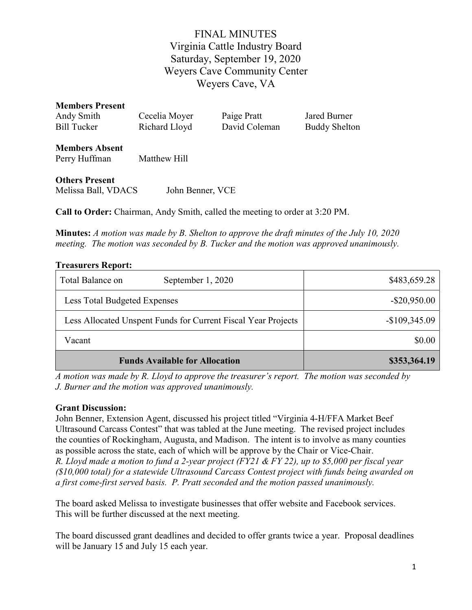# FINAL MINUTES Virginia Cattle Industry Board Saturday, September 19, 2020 Weyers Cave Community Center Weyers Cave, VA

| <b>Members Present</b> |               |               |                      |
|------------------------|---------------|---------------|----------------------|
| Andy Smith             | Cecelia Moyer | Paige Pratt   | Jared Burner         |
| Bill Tucker            | Richard Lloyd | David Coleman | <b>Buddy Shelton</b> |
|                        |               |               |                      |

Members Absent Perry Huffman Matthew Hill

Others Present

Melissa Ball, VDACS John Benner, VCE

Call to Order: Chairman, Andy Smith, called the meeting to order at 3:20 PM.

Minutes: A motion was made by B. Shelton to approve the draft minutes of the July 10, 2020 meeting. The motion was seconded by B. Tucker and the motion was approved unanimously.

### Treasurers Report:

| Total Balance on<br>September 1, 2020                         | \$483,659.28    |
|---------------------------------------------------------------|-----------------|
| Less Total Budgeted Expenses                                  | $-$ \$20,950.00 |
| Less Allocated Unspent Funds for Current Fiscal Year Projects | $-$109,345.09$  |
| Vacant                                                        | \$0.00          |
| <b>Funds Available for Allocation</b>                         | \$353,364.19    |

A motion was made by R. Lloyd to approve the treasurer's report. The motion was seconded by J. Burner and the motion was approved unanimously.

### Grant Discussion:

John Benner, Extension Agent, discussed his project titled "Virginia 4-H/FFA Market Beef Ultrasound Carcass Contest" that was tabled at the June meeting. The revised project includes the counties of Rockingham, Augusta, and Madison. The intent is to involve as many counties as possible across the state, each of which will be approve by the Chair or Vice-Chair. R. Lloyd made a motion to fund a 2-year project (FY21 & FY 22), up to \$5,000 per fiscal year (\$10,000 total) for a statewide Ultrasound Carcass Contest project with funds being awarded on a first come-first served basis. P. Pratt seconded and the motion passed unanimously.

The board asked Melissa to investigate businesses that offer website and Facebook services. This will be further discussed at the next meeting.

The board discussed grant deadlines and decided to offer grants twice a year. Proposal deadlines will be January 15 and July 15 each year.